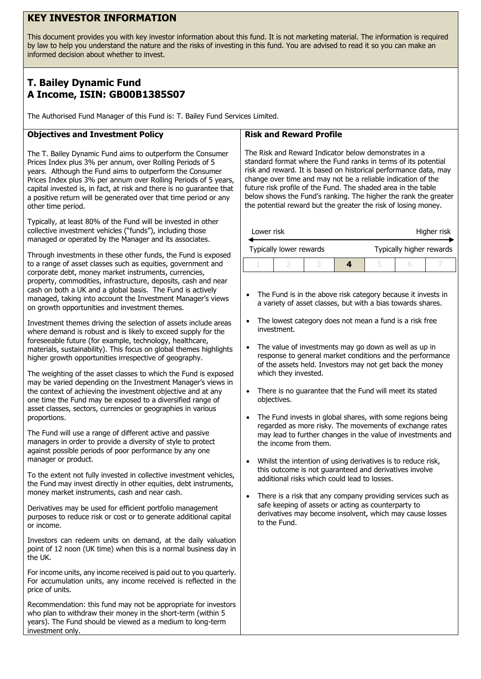## **KEY INVESTOR INFORMATION**

This document provides you with key investor information about this fund. It is not marketing material. The information is required by law to help you understand the nature and the risks of investing in this fund. You are advised to read it so you can make an informed decision about whether to invest.

# **T. Bailey Dynamic Fund A Income, ISIN: GB00B1385S07**

The Authorised Fund Manager of this Fund is: T. Bailey Fund Services Limited.

## **Objectives and Investment Policy**

The T. Bailey Dynamic Fund aims to outperform the Consumer Prices Index plus 3% per annum, over Rolling Periods of 5 years. Although the Fund aims to outperform the Consumer Prices Index plus 3% per annum over Rolling Periods of 5 years, capital invested is, in fact, at risk and there is no guarantee that a positive return will be generated over that time period or any other time period.

Typically, at least 80% of the Fund will be invested in other collective investment vehicles ("funds"), including those managed or operated by the Manager and its associates.

Through investments in these other funds, the Fund is exposed to a range of asset classes such as equities, government and corporate debt, money market instruments, currencies, property, commodities, infrastructure, deposits, cash and near cash on both a UK and a global basis. The Fund is actively managed, taking into account the Investment Manager's views on growth opportunities and investment themes.

Investment themes driving the selection of assets include areas where demand is robust and is likely to exceed supply for the foreseeable future (for example, technology, healthcare, materials, sustainability). This focus on global themes highlights higher growth opportunities irrespective of geography.

The weighting of the asset classes to which the Fund is exposed may be varied depending on the Investment Manager's views in the context of achieving the investment objective and at any one time the Fund may be exposed to a diversified range of asset classes, sectors, currencies or geographies in various proportions.

The Fund will use a range of different active and passive managers in order to provide a diversity of style to protect against possible periods of poor performance by any one manager or product.

To the extent not fully invested in collective investment vehicles, the Fund may invest directly in other equities, debt instruments, money market instruments, cash and near cash.

Derivatives may be used for efficient portfolio management purposes to reduce risk or cost or to generate additional capital or income.

Investors can redeem units on demand, at the daily valuation point of 12 noon (UK time) when this is a normal business day in the UK.

For income units, any income received is paid out to you quarterly. For accumulation units, any income received is reflected in the price of units.

Recommendation: this fund may not be appropriate for investors who plan to withdraw their money in the short-term (within 5 years). The Fund should be viewed as a medium to long-term investment only.

#### **Risk and Reward Profile**

The Risk and Reward Indicator below demonstrates in a standard format where the Fund ranks in terms of its potential risk and reward. It is based on historical performance data, may change over time and may not be a reliable indication of the future risk profile of the Fund. The shaded area in the table below shows the Fund's ranking. The higher the rank the greater the potential reward but the greater the risk of losing money.

| Lower risk |                         |  | Higher risk              |  |  |  |
|------------|-------------------------|--|--------------------------|--|--|--|
|            | Typically lower rewards |  | Typically higher rewards |  |  |  |
|            |                         |  |                          |  |  |  |

- The Fund is in the above risk category because it invests in a variety of asset classes, but with a bias towards shares.
- The lowest category does not mean a fund is a risk free investment.
- The value of investments may go down as well as up in response to general market conditions and the performance of the assets held. Investors may not get back the money which they invested.
- There is no guarantee that the Fund will meet its stated objectives.
- The Fund invests in global shares, with some regions being regarded as more risky. The movements of exchange rates may lead to further changes in the value of investments and the income from them.
- Whilst the intention of using derivatives is to reduce risk, this outcome is not guaranteed and derivatives involve additional risks which could lead to losses.
- There is a risk that any company providing services such as safe keeping of assets or acting as counterparty to derivatives may become insolvent, which may cause losses to the Fund.